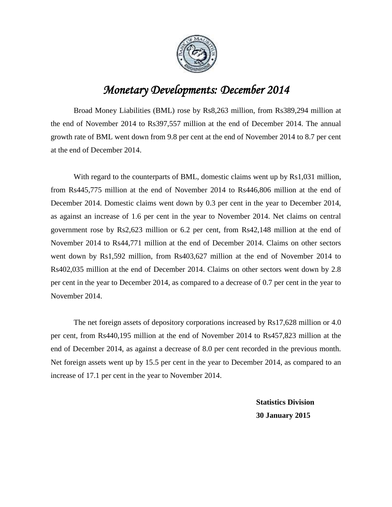

## *Monetary Developments: December 2014*

Broad Money Liabilities (BML) rose by Rs8,263 million, from Rs389,294 million at the end of November 2014 to Rs397,557 million at the end of December 2014. The annual growth rate of BML went down from 9.8 per cent at the end of November 2014 to 8.7 per cent at the end of December 2014.

With regard to the counterparts of BML, domestic claims went up by Rs1,031 million, from Rs445,775 million at the end of November 2014 to Rs446,806 million at the end of December 2014. Domestic claims went down by 0.3 per cent in the year to December 2014, as against an increase of 1.6 per cent in the year to November 2014. Net claims on central government rose by Rs2,623 million or 6.2 per cent, from Rs42,148 million at the end of November 2014 to Rs44,771 million at the end of December 2014. Claims on other sectors went down by Rs1,592 million, from Rs403,627 million at the end of November 2014 to Rs402,035 million at the end of December 2014. Claims on other sectors went down by 2.8 per cent in the year to December 2014, as compared to a decrease of 0.7 per cent in the year to November 2014.

The net foreign assets of depository corporations increased by Rs17,628 million or 4.0 per cent, from Rs440,195 million at the end of November 2014 to Rs457,823 million at the end of December 2014, as against a decrease of 8.0 per cent recorded in the previous month. Net foreign assets went up by 15.5 per cent in the year to December 2014, as compared to an increase of 17.1 per cent in the year to November 2014.

> **Statistics Division 30 January 2015**